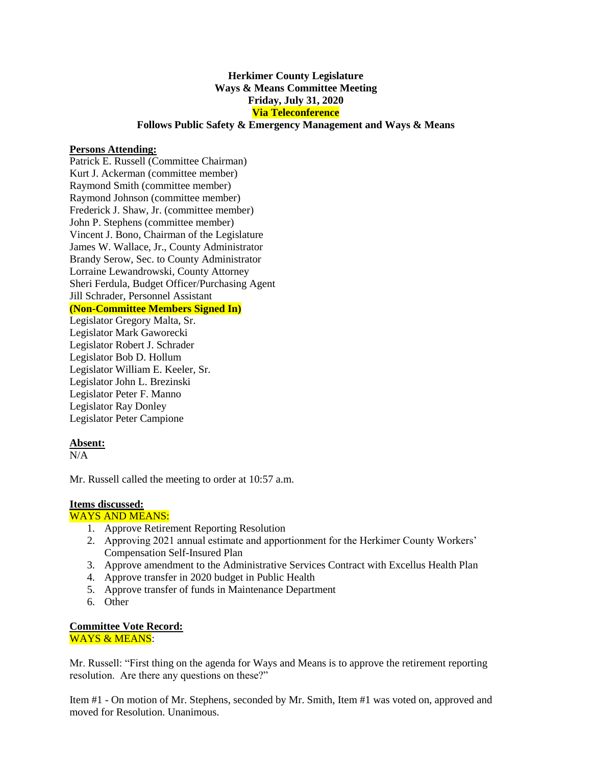# **Herkimer County Legislature Ways & Means Committee Meeting Friday, July 31, 2020 Via Teleconference**

## **Follows Public Safety & Emergency Management and Ways & Means**

## **Persons Attending:**

Patrick E. Russell (Committee Chairman) Kurt J. Ackerman (committee member) Raymond Smith (committee member) Raymond Johnson (committee member) Frederick J. Shaw, Jr. (committee member) John P. Stephens (committee member) Vincent J. Bono, Chairman of the Legislature James W. Wallace, Jr., County Administrator Brandy Serow, Sec. to County Administrator Lorraine Lewandrowski, County Attorney Sheri Ferdula, Budget Officer/Purchasing Agent Jill Schrader, Personnel Assistant **(Non-Committee Members Signed In)** Legislator Gregory Malta, Sr.

Legislator Mark Gaworecki Legislator Robert J. Schrader Legislator Bob D. Hollum Legislator William E. Keeler, Sr. Legislator John L. Brezinski Legislator Peter F. Manno Legislator Ray Donley Legislator Peter Campione

### **Absent:**

 $N/A$ 

Mr. Russell called the meeting to order at 10:57 a.m.

#### **Items discussed:**

#### WAYS AND MEANS:

- 1. Approve Retirement Reporting Resolution
- 2. Approving 2021 annual estimate and apportionment for the Herkimer County Workers' Compensation Self-Insured Plan
- 3. Approve amendment to the Administrative Services Contract with Excellus Health Plan
- 4. Approve transfer in 2020 budget in Public Health
- 5. Approve transfer of funds in Maintenance Department
- 6. Other

#### **Committee Vote Record:**  WAYS & MEANS:

Mr. Russell: "First thing on the agenda for Ways and Means is to approve the retirement reporting resolution. Are there any questions on these?"

Item #1 - On motion of Mr. Stephens, seconded by Mr. Smith, Item #1 was voted on, approved and moved for Resolution. Unanimous.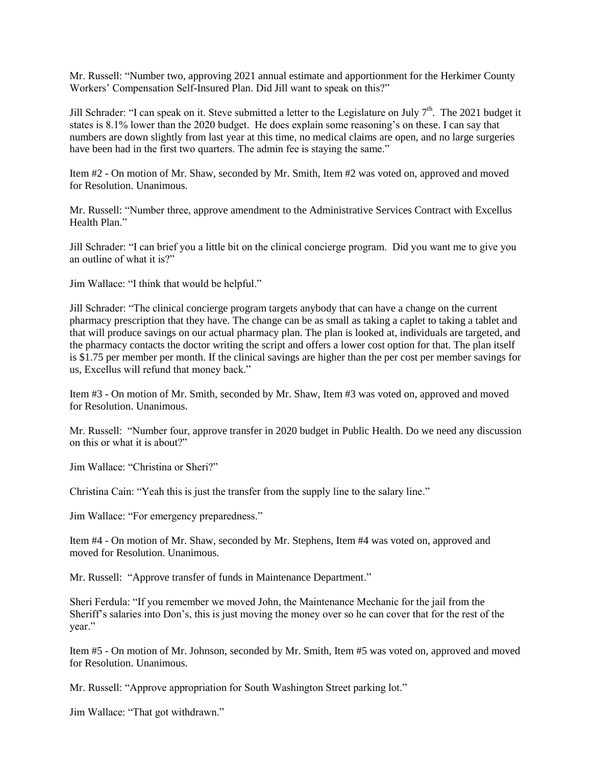Mr. Russell: "Number two, approving 2021 annual estimate and apportionment for the Herkimer County Workers' Compensation Self-Insured Plan. Did Jill want to speak on this?"

Jill Schrader: "I can speak on it. Steve submitted a letter to the Legislature on July 7<sup>th</sup>. The 2021 budget it states is 8.1% lower than the 2020 budget. He does explain some reasoning's on these. I can say that numbers are down slightly from last year at this time, no medical claims are open, and no large surgeries have been had in the first two quarters. The admin fee is staying the same."

Item #2 - On motion of Mr. Shaw, seconded by Mr. Smith, Item #2 was voted on, approved and moved for Resolution. Unanimous.

Mr. Russell: "Number three, approve amendment to the Administrative Services Contract with Excellus Health Plan."

Jill Schrader: "I can brief you a little bit on the clinical concierge program. Did you want me to give you an outline of what it is?"

Jim Wallace: "I think that would be helpful."

Jill Schrader: "The clinical concierge program targets anybody that can have a change on the current pharmacy prescription that they have. The change can be as small as taking a caplet to taking a tablet and that will produce savings on our actual pharmacy plan. The plan is looked at, individuals are targeted, and the pharmacy contacts the doctor writing the script and offers a lower cost option for that. The plan itself is \$1.75 per member per month. If the clinical savings are higher than the per cost per member savings for us, Excellus will refund that money back."

Item #3 - On motion of Mr. Smith, seconded by Mr. Shaw, Item #3 was voted on, approved and moved for Resolution. Unanimous.

Mr. Russell: "Number four, approve transfer in 2020 budget in Public Health. Do we need any discussion on this or what it is about?"

Jim Wallace: "Christina or Sheri?"

Christina Cain: "Yeah this is just the transfer from the supply line to the salary line."

Jim Wallace: "For emergency preparedness."

Item #4 - On motion of Mr. Shaw, seconded by Mr. Stephens, Item #4 was voted on, approved and moved for Resolution. Unanimous.

Mr. Russell: "Approve transfer of funds in Maintenance Department."

Sheri Ferdula: "If you remember we moved John, the Maintenance Mechanic for the jail from the Sheriff's salaries into Don's, this is just moving the money over so he can cover that for the rest of the year."

Item #5 - On motion of Mr. Johnson, seconded by Mr. Smith, Item #5 was voted on, approved and moved for Resolution. Unanimous.

Mr. Russell: "Approve appropriation for South Washington Street parking lot."

Jim Wallace: "That got withdrawn."